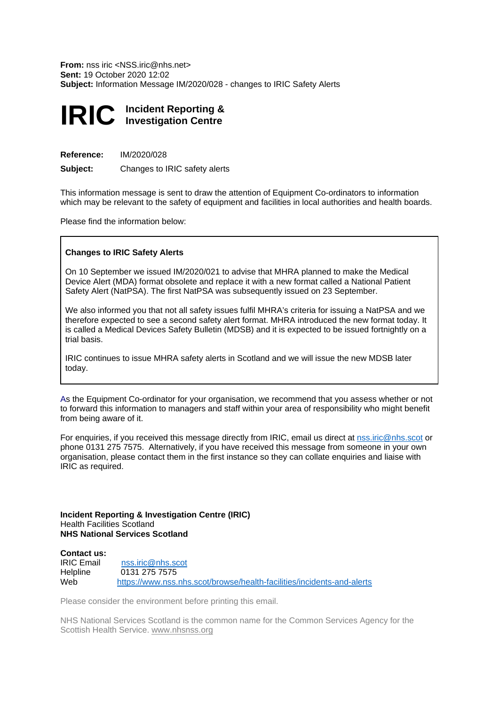**From:** nss iric <[NSS.iric@nhs.net>](mailto:NSS.iric@nhs.net) **Subject:** Information Message IM/2020/028 - changes to IRIC Safety Alerts **Sent:** 19 October 2020 12:02

## **IRIC Incident Reporting & Investigation Centre**

**Reference:** IM/2020/028

**Subject:** Changes to IRIC safety alerts

 This information message is sent to draw the attention of Equipment Co-ordinators to information which may be relevant to the safety of equipment and facilities in local authorities and health boards.

Please find the information below:

## **Changes to IRIC Safety Alerts**

 On 10 September we issued IM/2020/021 to advise that MHRA planned to make the Medical Device Alert (MDA) format obsolete and replace it with a new format called a National Patient Safety Alert (NatPSA). The first NatPSA was subsequently issued on 23 September.

 We also informed you that not all safety issues fulfil MHRA's criteria for issuing a NatPSA and we therefore expected to see a second safety alert format. MHRA introduced the new format today. It is called a Medical Devices Safety Bulletin (MDSB) and it is expected to be issued fortnightly on a trial basis.

 IRIC continues to issue MHRA safety alerts in Scotland and we will issue the new MDSB later today.

 As the Equipment Co-ordinator for your organisation, we recommend that you assess whether or not to forward this information to managers and staff within your area of responsibility who might benefit from being aware of it.

For enquiries, if you received this message directly from IRIC, email us direct at **nss.iric@nhs.scot** or  phone 0131 275 7575. Alternatively, if you have received this message from someone in your own organisation, please contact them in the first instance so they can collate enquiries and liaise with IRIC as required.

 **Incident Reporting & Investigation Centre (IRIC) NHS National Services Scotland**  Health Facilities Scotland

## **IRIC Email** Helpline Web **Contact us:**  nss.iric@nhs.scot 0131 275 7575 https://www.nss.nhs.scot/browse/health-facilities/incidents-and-alerts

Please consider the environment before printing this email.

 NHS National Services Scotland is the common name for the Common Services Agency for the Scottish Health Service.[www.nhsnss.or](www.nhsnss.org)[g](http://www.nhsnss.org/)